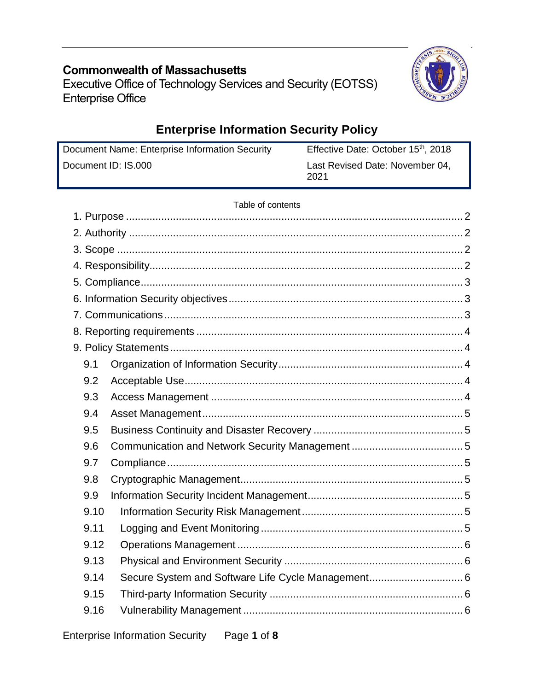# **Commonwealth of Massachusetts**

Executive Office of Technology Services and Security (EOTSS) Enterprise Office



# **Enterprise Information Security Policy**

Document Name: Enterprise Information Security Document ID: IS.000 Effective Date: October 15<sup>th</sup>, 2018 Last Revised Date: November 04, 2021

### Table of contents

| 9.1  |  |  |  |  |  |
|------|--|--|--|--|--|
| 9.2  |  |  |  |  |  |
| 9.3  |  |  |  |  |  |
| 9.4  |  |  |  |  |  |
| 9.5  |  |  |  |  |  |
| 9.6  |  |  |  |  |  |
| 9.7  |  |  |  |  |  |
| 9.8  |  |  |  |  |  |
| 9.9  |  |  |  |  |  |
| 9.10 |  |  |  |  |  |
| 9.11 |  |  |  |  |  |
| 9.12 |  |  |  |  |  |
| 9.13 |  |  |  |  |  |
| 9.14 |  |  |  |  |  |
| 9.15 |  |  |  |  |  |
| 9.16 |  |  |  |  |  |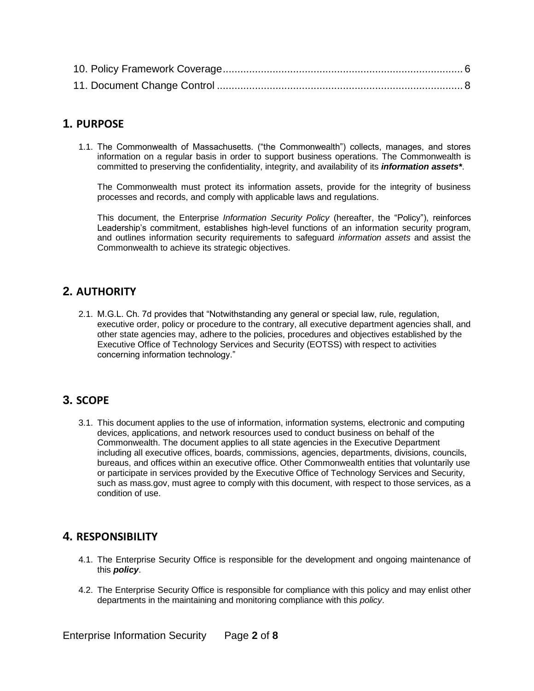## <span id="page-1-0"></span>**1. PURPOSE**

1.1. The Commonwealth of Massachusetts. ("the Commonwealth") collects, manages, and stores information on a regular basis in order to support business operations. The Commonwealth is committed to preserving the confidentiality, integrity, and availability of its *information assets\**.

The Commonwealth must protect its information assets, provide for the integrity of business processes and records, and comply with applicable laws and regulations.

This document, the Enterprise *Information Security Policy* (hereafter, the "Policy"), reinforces Leadership's commitment, establishes high-level functions of an information security program, and outlines information security requirements to safeguard *information assets* and assist the Commonwealth to achieve its strategic objectives.

## <span id="page-1-1"></span>**2. AUTHORITY**

2.1. M.G.L. Ch. 7d provides that "Notwithstanding any general or special law, rule, regulation, executive order, policy or procedure to the contrary, all executive department agencies shall, and other state agencies may, adhere to the policies, procedures and objectives established by the Executive Office of Technology Services and Security (EOTSS) with respect to activities concerning information technology."

## <span id="page-1-2"></span>**3. SCOPE**

3.1. This document applies to the use of information, information systems, electronic and computing devices, applications, and network resources used to conduct business on behalf of the Commonwealth. The document applies to all state agencies in the Executive Department including all executive offices, boards, commissions, agencies, departments, divisions, councils, bureaus, and offices within an executive office. Other Commonwealth entities that voluntarily use or participate in services provided by the Executive Office of Technology Services and Security, such as mass.gov, must agree to comply with this document, with respect to those services, as a condition of use.

## <span id="page-1-3"></span>**4. RESPONSIBILITY**

- 4.1. The Enterprise Security Office is responsible for the development and ongoing maintenance of this *policy*.
- 4.2. The Enterprise Security Office is responsible for compliance with this policy and may enlist other departments in the maintaining and monitoring compliance with this *policy*.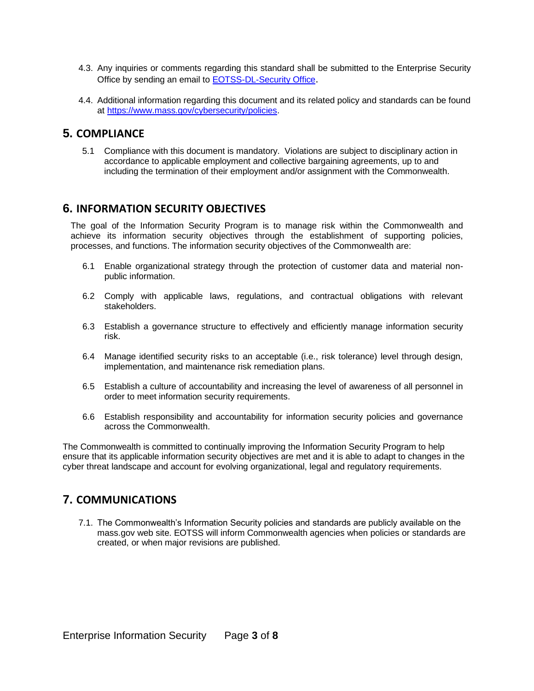- 4.3. Any inquiries or comments regarding this standard shall be submitted to the Enterprise Security Office by sending an email to [EOTSS-DL-Security Office](mailto:EOTSS-DL-SecurityOfficeManagers).
- 4.4. Additional information regarding this document and its related policy and standards can be found at [https://www.mass.gov/cybersecurity/policies.](https://www.mass.gov/cybersecurity/policies)

## <span id="page-2-0"></span>**5. COMPLIANCE**

5.1 Compliance with this document is mandatory. Violations are subject to disciplinary action in accordance to applicable employment and collective bargaining agreements, up to and including the termination of their employment and/or assignment with the Commonwealth.

## <span id="page-2-1"></span>**6. INFORMATION SECURITY OBJECTIVES**

The goal of the Information Security Program is to manage risk within the Commonwealth and achieve its information security objectives through the establishment of supporting policies, processes, and functions. The information security objectives of the Commonwealth are:

- 6.1 Enable organizational strategy through the protection of customer data and material nonpublic information.
- 6.2 Comply with applicable laws, regulations, and contractual obligations with relevant stakeholders.
- 6.3 Establish a governance structure to effectively and efficiently manage information security risk.
- 6.4 Manage identified security risks to an acceptable (i.e., risk tolerance) level through design, implementation, and maintenance risk remediation plans.
- 6.5 Establish a culture of accountability and increasing the level of awareness of all personnel in order to meet information security requirements.
- 6.6 Establish responsibility and accountability for information security policies and governance across the Commonwealth.

The Commonwealth is committed to continually improving the Information Security Program to help ensure that its applicable information security objectives are met and it is able to adapt to changes in the cyber threat landscape and account for evolving organizational, legal and regulatory requirements.

## <span id="page-2-2"></span>**7. COMMUNICATIONS**

7.1. The Commonwealth's Information Security policies and standards are publicly available on the mass.gov web site. EOTSS will inform Commonwealth agencies when policies or standards are created, or when major revisions are published.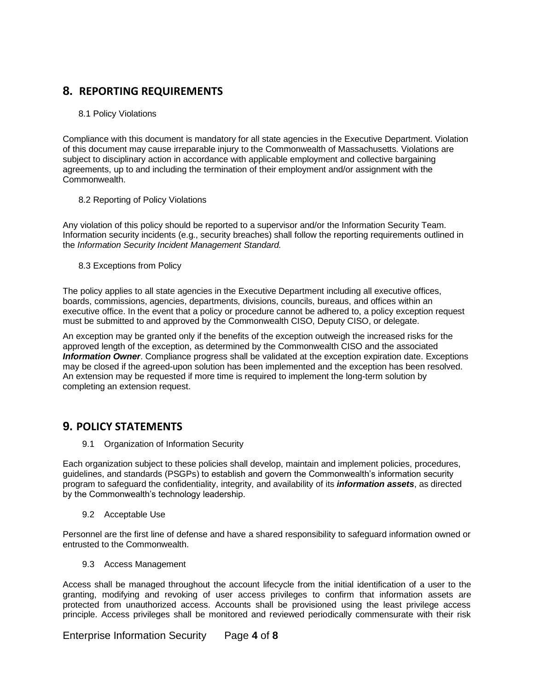## **8. REPORTING REQUIREMENTS**

#### <span id="page-3-0"></span>8.1 Policy Violations

Compliance with this document is mandatory for all state agencies in the Executive Department. Violation of this document may cause irreparable injury to the Commonwealth of Massachusetts. Violations are subject to disciplinary action in accordance with applicable employment and collective bargaining agreements, up to and including the termination of their employment and/or assignment with the Commonwealth.

#### 8.2 Reporting of Policy Violations

Any violation of this policy should be reported to a supervisor and/or the Information Security Team. Information security incidents (e.g., security breaches) shall follow the reporting requirements outlined in the *Information Security Incident Management Standard.*

8.3 Exceptions from Policy

The policy applies to all state agencies in the Executive Department including all executive offices, boards, commissions, agencies, departments, divisions, councils, bureaus, and offices within an executive office. In the event that a policy or procedure cannot be adhered to, a policy exception request must be submitted to and approved by the Commonwealth CISO, Deputy CISO, or delegate.

An exception may be granted only if the benefits of the exception outweigh the increased risks for the approved length of the exception, as determined by the Commonwealth CISO and the associated *Information Owner*. Compliance progress shall be validated at the exception expiration date. Exceptions may be closed if the agreed-upon solution has been implemented and the exception has been resolved. An extension may be requested if more time is required to implement the long-term solution by completing an extension request.

### <span id="page-3-2"></span><span id="page-3-1"></span>**9. POLICY STATEMENTS**

9.1 Organization of Information Security

Each organization subject to these policies shall develop, maintain and implement policies, procedures, guidelines, and standards (PSGPs) to establish and govern the Commonwealth's information security program to safeguard the confidentiality, integrity, and availability of its *information assets*, as directed by the Commonwealth's technology leadership.

9.2 Acceptable Use

<span id="page-3-3"></span>Personnel are the first line of defense and have a shared responsibility to safeguard information owned or entrusted to the Commonwealth.

9.3 Access Management

<span id="page-3-4"></span>Access shall be managed throughout the account lifecycle from the initial identification of a user to the granting, modifying and revoking of user access privileges to confirm that information assets are protected from unauthorized access. Accounts shall be provisioned using the least privilege access principle. Access privileges shall be monitored and reviewed periodically commensurate with their risk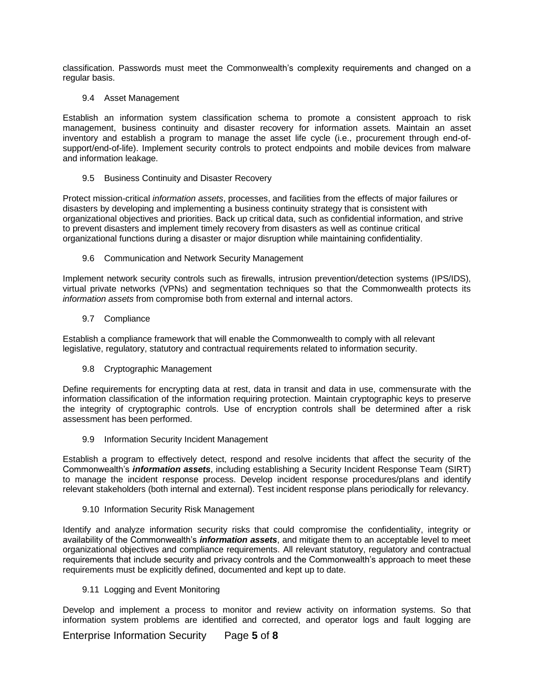classification. Passwords must meet the Commonwealth's complexity requirements and changed on a regular basis.

#### 9.4 Asset Management

<span id="page-4-0"></span>Establish an information system classification schema to promote a consistent approach to risk management, business continuity and disaster recovery for information assets. Maintain an asset inventory and establish a program to manage the asset life cycle (i.e., procurement through end-ofsupport/end-of-life). Implement security controls to protect endpoints and mobile devices from malware and information leakage.

#### 9.5 Business Continuity and Disaster Recovery

<span id="page-4-1"></span>Protect mission-critical *information assets*, processes, and facilities from the effects of major failures or disasters by developing and implementing a business continuity strategy that is consistent with organizational objectives and priorities. Back up critical data, such as confidential information, and strive to prevent disasters and implement timely recovery from disasters as well as continue critical organizational functions during a disaster or major disruption while maintaining confidentiality.

#### 9.6 Communication and Network Security Management

<span id="page-4-2"></span>Implement network security controls such as firewalls, intrusion prevention/detection systems (IPS/IDS), virtual private networks (VPNs) and segmentation techniques so that the Commonwealth protects its *information assets* from compromise both from external and internal actors.

#### 9.7 Compliance

<span id="page-4-3"></span>Establish a compliance framework that will enable the Commonwealth to comply with all relevant legislative, regulatory, statutory and contractual requirements related to information security.

#### 9.8 Cryptographic Management

<span id="page-4-4"></span>Define requirements for encrypting data at rest, data in transit and data in use, commensurate with the information classification of the information requiring protection. Maintain cryptographic keys to preserve the integrity of cryptographic controls. Use of encryption controls shall be determined after a risk assessment has been performed.

#### 9.9 Information Security Incident Management

<span id="page-4-5"></span>Establish a program to effectively detect, respond and resolve incidents that affect the security of the Commonwealth's *information assets*, including establishing a Security Incident Response Team (SIRT) to manage the incident response process. Develop incident response procedures/plans and identify relevant stakeholders (both internal and external). Test incident response plans periodically for relevancy.

#### 9.10 Information Security Risk Management

<span id="page-4-6"></span>Identify and analyze information security risks that could compromise the confidentiality, integrity or availability of the Commonwealth's *information assets*, and mitigate them to an acceptable level to meet organizational objectives and compliance requirements. All relevant statutory, regulatory and contractual requirements that include security and privacy controls and the Commonwealth's approach to meet these requirements must be explicitly defined, documented and kept up to date.

#### 9.11 Logging and Event Monitoring

<span id="page-4-7"></span>Develop and implement a process to monitor and review activity on information systems. So that information system problems are identified and corrected, and operator logs and fault logging are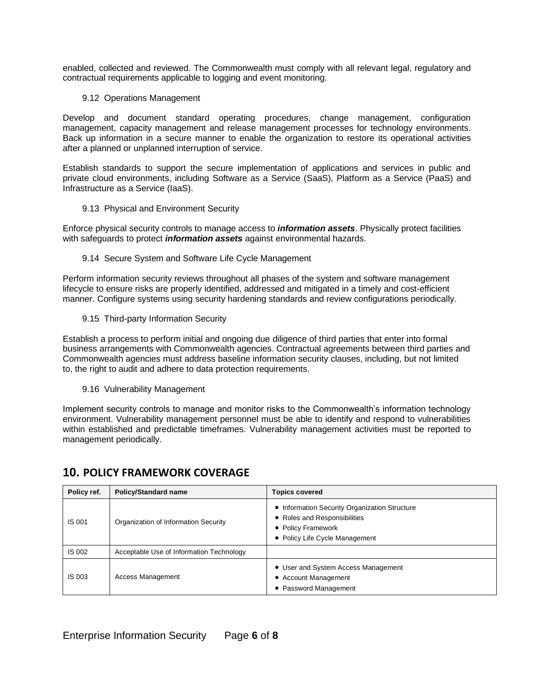enabled, collected and reviewed. The Commonwealth must comply with all relevant legal, regulatory and contractual requirements applicable to logging and event monitoring.

#### 9.12 Operations Management

<span id="page-5-0"></span>Develop and document standard operating procedures, change management, configuration management, capacity management and release management processes for technology environments. Back up information in a secure manner to enable the organization to restore its operational activities after a planned or unplanned interruption of service.

Establish standards to support the secure implementation of applications and services in public and private cloud environments, including Software as a Service (SaaS), Platform as a Service (PaaS) and Infrastructure as a Service (IaaS).

#### 9.13 Physical and Environment Security

<span id="page-5-1"></span>Enforce physical security controls to manage access to *information assets*. Physically protect facilities with safeguards to protect *information assets* against environmental hazards.

#### 9.14 Secure System and Software Life Cycle Management

<span id="page-5-2"></span>Perform information security reviews throughout all phases of the system and software management lifecycle to ensure risks are properly identified, addressed and mitigated in a timely and cost-efficient manner. Configure systems using security hardening standards and review configurations periodically.

9.15 Third-party Information Security

<span id="page-5-3"></span>Establish a process to perform initial and ongoing due diligence of third parties that enter into formal business arrangements with Commonwealth agencies. Contractual agreements between third parties and Commonwealth agencies must address baseline information security clauses, including, but not limited to, the right to audit and adhere to data protection requirements.

9.16 Vulnerability Management

<span id="page-5-4"></span>Implement security controls to manage and monitor risks to the Commonwealth's information technology environment. Vulnerability management personnel must be able to identify and respond to vulnerabilities within established and predictable timeframes. Vulnerability management activities must be reported to management periodically.

| Policy ref.   | <b>Policy/Standard name</b>              | <b>Topics covered</b>                                                                                                                 |
|---------------|------------------------------------------|---------------------------------------------------------------------------------------------------------------------------------------|
| <b>IS 001</b> | Organization of Information Security     | • Information Security Organization Structure<br>• Roles and Responsibilities<br>• Policy Framework<br>• Policy Life Cycle Management |
| IS 002        | Acceptable Use of Information Technology |                                                                                                                                       |
| <b>IS 003</b> | Access Management                        | • User and System Access Management<br>• Account Management<br>• Password Management                                                  |

## <span id="page-5-5"></span>**10. POLICY FRAMEWORK COVERAGE**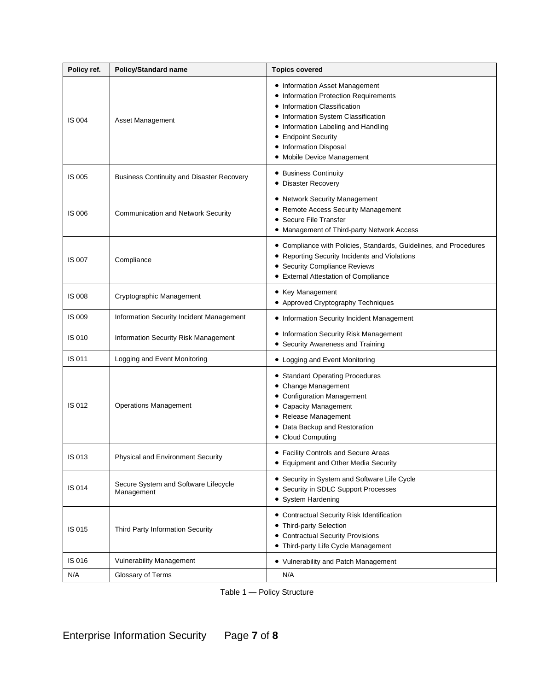| Policy ref.   | <b>Policy/Standard name</b>                        | <b>Topics covered</b>                                                                                                                                                                                                                                                |
|---------------|----------------------------------------------------|----------------------------------------------------------------------------------------------------------------------------------------------------------------------------------------------------------------------------------------------------------------------|
| <b>IS 004</b> | Asset Management                                   | • Information Asset Management<br>• Information Protection Requirements<br>• Information Classification<br>• Information System Classification<br>• Information Labeling and Handling<br>• Endpoint Security<br>• Information Disposal<br>• Mobile Device Management |
| IS 005        | <b>Business Continuity and Disaster Recovery</b>   | • Business Continuity<br>• Disaster Recovery                                                                                                                                                                                                                         |
| <b>IS 006</b> | <b>Communication and Network Security</b>          | • Network Security Management<br>• Remote Access Security Management<br>• Secure File Transfer<br>• Management of Third-party Network Access                                                                                                                         |
| IS 007        | Compliance                                         | • Compliance with Policies, Standards, Guidelines, and Procedures<br>• Reporting Security Incidents and Violations<br>• Security Compliance Reviews<br>• External Attestation of Compliance                                                                          |
| <b>IS 008</b> | Cryptographic Management                           | • Key Management<br>• Approved Cryptography Techniques                                                                                                                                                                                                               |
| IS 009        | Information Security Incident Management           | • Information Security Incident Management                                                                                                                                                                                                                           |
| IS 010        | Information Security Risk Management               | • Information Security Risk Management<br>• Security Awareness and Training                                                                                                                                                                                          |
| IS 011        | Logging and Event Monitoring                       | • Logging and Event Monitoring                                                                                                                                                                                                                                       |
| IS 012        | <b>Operations Management</b>                       | • Standard Operating Procedures<br>• Change Management<br>• Configuration Management<br>• Capacity Management<br>• Release Management<br>• Data Backup and Restoration<br>• Cloud Computing                                                                          |
| IS 013        | Physical and Environment Security                  | • Facility Controls and Secure Areas<br>• Equipment and Other Media Security                                                                                                                                                                                         |
| IS 014        | Secure System and Software Lifecycle<br>Management | • Security in System and Software Life Cycle<br>• Security in SDLC Support Processes<br>• System Hardening                                                                                                                                                           |
| IS 015        | Third Party Information Security                   | • Contractual Security Risk Identification<br>• Third-party Selection<br>• Contractual Security Provisions<br>• Third-party Life Cycle Management                                                                                                                    |
| IS 016        | <b>Vulnerability Management</b>                    | • Vulnerability and Patch Management                                                                                                                                                                                                                                 |
| N/A           | Glossary of Terms                                  | N/A                                                                                                                                                                                                                                                                  |

Table 1 — Policy Structure